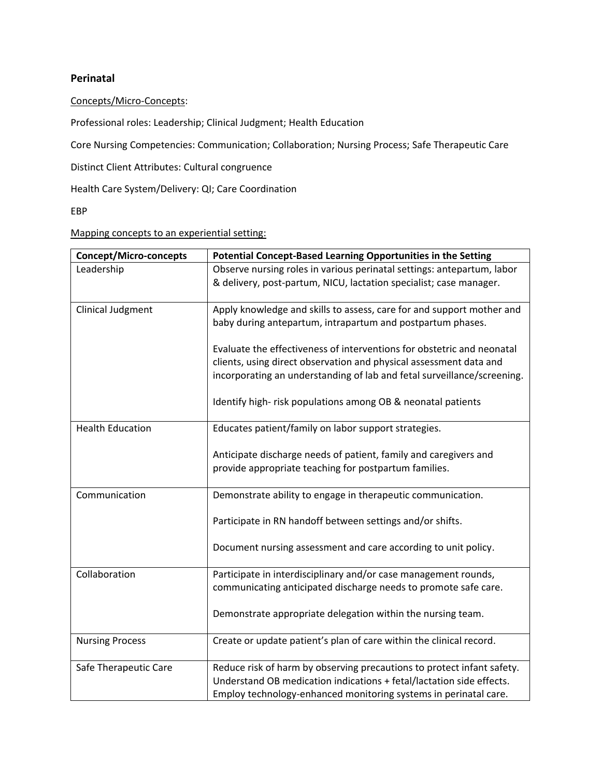## **Perinatal**

## Concepts/Micro-Concepts:

Professional roles: Leadership; Clinical Judgment; Health Education

Core Nursing Competencies: Communication; Collaboration; Nursing Process; Safe Therapeutic Care

Distinct Client Attributes: Cultural congruence

Health Care System/Delivery: QI; Care Coordination

EBP

Mapping concepts to an experiential setting:

| <b>Concept/Micro-concepts</b> | Potential Concept-Based Learning Opportunities in the Setting                                                                                                                                                           |
|-------------------------------|-------------------------------------------------------------------------------------------------------------------------------------------------------------------------------------------------------------------------|
| Leadership                    | Observe nursing roles in various perinatal settings: antepartum, labor<br>& delivery, post-partum, NICU, lactation specialist; case manager.                                                                            |
| <b>Clinical Judgment</b>      | Apply knowledge and skills to assess, care for and support mother and<br>baby during antepartum, intrapartum and postpartum phases.                                                                                     |
|                               | Evaluate the effectiveness of interventions for obstetric and neonatal<br>clients, using direct observation and physical assessment data and<br>incorporating an understanding of lab and fetal surveillance/screening. |
|                               | Identify high-risk populations among OB & neonatal patients                                                                                                                                                             |
| <b>Health Education</b>       | Educates patient/family on labor support strategies.                                                                                                                                                                    |
|                               | Anticipate discharge needs of patient, family and caregivers and<br>provide appropriate teaching for postpartum families.                                                                                               |
| Communication                 | Demonstrate ability to engage in therapeutic communication.                                                                                                                                                             |
|                               | Participate in RN handoff between settings and/or shifts.                                                                                                                                                               |
|                               | Document nursing assessment and care according to unit policy.                                                                                                                                                          |
| Collaboration                 | Participate in interdisciplinary and/or case management rounds,                                                                                                                                                         |
|                               | communicating anticipated discharge needs to promote safe care.                                                                                                                                                         |
|                               | Demonstrate appropriate delegation within the nursing team.                                                                                                                                                             |
| <b>Nursing Process</b>        | Create or update patient's plan of care within the clinical record.                                                                                                                                                     |
| Safe Therapeutic Care         | Reduce risk of harm by observing precautions to protect infant safety.<br>Understand OB medication indications + fetal/lactation side effects.<br>Employ technology-enhanced monitoring systems in perinatal care.      |